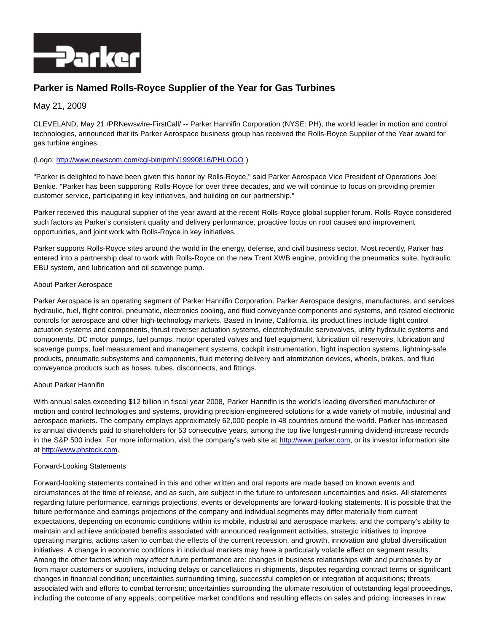

# **Parker is Named Rolls-Royce Supplier of the Year for Gas Turbines**

# May 21, 2009

CLEVELAND, May 21 /PRNewswire-FirstCall/ -- Parker Hannifin Corporation (NYSE: PH), the world leader in motion and control technologies, announced that its Parker Aerospace business group has received the Rolls-Royce Supplier of the Year award for gas turbine engines.

## (Logo: [http://www.newscom.com/cgi-bin/prnh/19990816/PHLOGO \)](http://www.newscom.com/cgi-bin/prnh/19990816/PHLOGO)

"Parker is delighted to have been given this honor by Rolls-Royce," said Parker Aerospace Vice President of Operations Joel Benkie. "Parker has been supporting Rolls-Royce for over three decades, and we will continue to focus on providing premier customer service, participating in key initiatives, and building on our partnership."

Parker received this inaugural supplier of the year award at the recent Rolls-Royce global supplier forum. Rolls-Royce considered such factors as Parker's consistent quality and delivery performance, proactive focus on root causes and improvement opportunities, and joint work with Rolls-Royce in key initiatives.

Parker supports Rolls-Royce sites around the world in the energy, defense, and civil business sector. Most recently, Parker has entered into a partnership deal to work with Rolls-Royce on the new Trent XWB engine, providing the pneumatics suite, hydraulic EBU system, and lubrication and oil scavenge pump.

## About Parker Aerospace

Parker Aerospace is an operating segment of Parker Hannifin Corporation. Parker Aerospace designs, manufactures, and services hydraulic, fuel, flight control, pneumatic, electronics cooling, and fluid conveyance components and systems, and related electronic controls for aerospace and other high-technology markets. Based in Irvine, California, its product lines include flight control actuation systems and components, thrust-reverser actuation systems, electrohydraulic servovalves, utility hydraulic systems and components, DC motor pumps, fuel pumps, motor operated valves and fuel equipment, lubrication oil reservoirs, lubrication and scavenge pumps, fuel measurement and management systems, cockpit instrumentation, flight inspection systems, lightning-safe products, pneumatic subsystems and components, fluid metering delivery and atomization devices, wheels, brakes, and fluid conveyance products such as hoses, tubes, disconnects, and fittings.

#### About Parker Hannifin

With annual sales exceeding \$12 billion in fiscal year 2008, Parker Hannifin is the world's leading diversified manufacturer of motion and control technologies and systems, providing precision-engineered solutions for a wide variety of mobile, industrial and aerospace markets. The company employs approximately 62,000 people in 48 countries around the world. Parker has increased its annual dividends paid to shareholders for 53 consecutive years, among the top five longest-running dividend-increase records in the S&P 500 index. For more information, visit the company's web site at [http://www.parker.com,](http://www.parker.com/) or its investor information site at [http://www.phstock.com.](http://www.phstock.com/)

#### Forward-Looking Statements

Forward-looking statements contained in this and other written and oral reports are made based on known events and circumstances at the time of release, and as such, are subject in the future to unforeseen uncertainties and risks. All statements regarding future performance, earnings projections, events or developments are forward-looking statements. It is possible that the future performance and earnings projections of the company and individual segments may differ materially from current expectations, depending on economic conditions within its mobile, industrial and aerospace markets, and the company's ability to maintain and achieve anticipated benefits associated with announced realignment activities, strategic initiatives to improve operating margins, actions taken to combat the effects of the current recession, and growth, innovation and global diversification initiatives. A change in economic conditions in individual markets may have a particularly volatile effect on segment results. Among the other factors which may affect future performance are: changes in business relationships with and purchases by or from major customers or suppliers, including delays or cancellations in shipments, disputes regarding contract terms or significant changes in financial condition; uncertainties surrounding timing, successful completion or integration of acquisitions; threats associated with and efforts to combat terrorism; uncertainties surrounding the ultimate resolution of outstanding legal proceedings, including the outcome of any appeals; competitive market conditions and resulting effects on sales and pricing; increases in raw